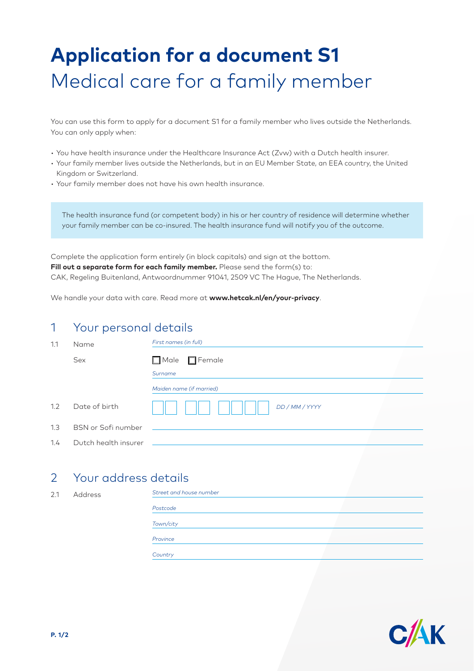# **Application for a document S1** Medical care for a family member

You can use this form to apply for a document S1 for a family member who lives outside the Netherlands. You can only apply when:

- You have health insurance under the Healthcare Insurance Act (Zvw) with a Dutch health insurer.
- Your family member lives outside the Netherlands, but in an EU Member State, an EEA country, the United Kingdom or Switzerland.
- Your family member does not have his own health insurance.

The health insurance fund (or competent body) in his or her country of residence will determine whether your family member can be co-insured. The health insurance fund will notify you of the outcome.

Complete the application form entirely (in block capitals) and sign at the bottom. **Fill out a separate form for each family member.** Please send the form(s) to: CAK, Regeling Buitenland, Antwoordnummer 91041, 2509 VC The Hague, The Netherlands.

We handle your data with care. Read more at **<www.hetcak.nl/en/your-privacy>**.

#### 1 Your personal details

| 1.1 | Name                 | First names (in full)     |
|-----|----------------------|---------------------------|
|     | Sex                  | $\Box$ Male $\Box$ Female |
|     |                      | Surname                   |
|     |                      | Maiden name (if married)  |
| 1.2 | Date of birth        | DD / MM / YYYY            |
| 1.3 | BSN or Sofi number   |                           |
| 1.4 | Dutch health insurer |                           |

#### 2 Your address details

2.1 Address

| Street and house number |  |
|-------------------------|--|
| Postcode                |  |
| Town/city               |  |
| Province                |  |
| Country                 |  |